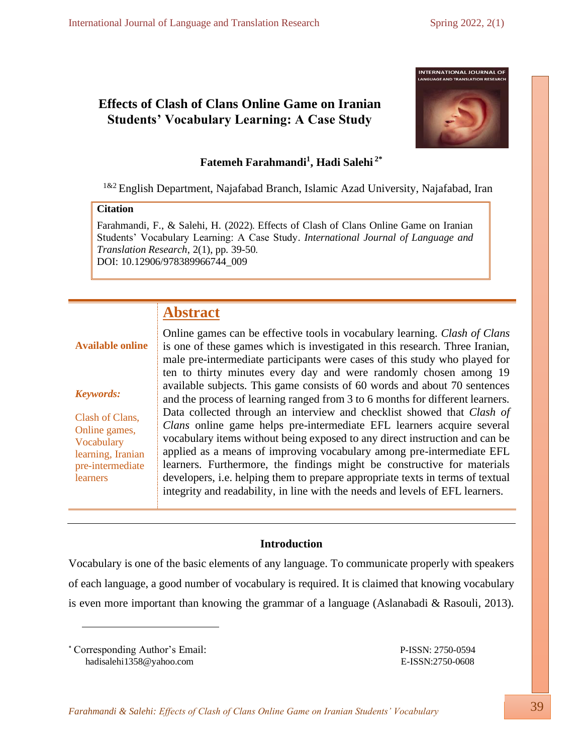# **Effects of Clash of Clans Online Game on Iranian Students' Vocabulary Learning: A Case Study**



# **Fatemeh Farahmandi<sup>1</sup> , Hadi Salehi 2\***

English Department, Najafabad Branch, Islamic Azad University, Najafabad, Iran

# **Citation**

Farahmandi, F., & Salehi, H. (2022). Effects of Clash of Clans Online Game on Iranian Students' Vocabulary Learning: A Case Study. *International Journal of Language and Translation Research*, 2(1), pp. 39-50. DOI: [10.12906/978389966744\\_009](https://dx.doi.org/10.12906/978389966744_008)

# **Abstract**

# **Available online**

# *Keywords:*

Clash of Clans, Online games, Vocabulary learning, Iranian pre-intermediate learners

Online games can be effective tools in vocabulary learning. *Clash of Clans* is one of these games which is investigated in this research. Three Iranian, male pre-intermediate participants were cases of this study who played for ten to thirty minutes every day and were randomly chosen among 19 available subjects. This game consists of 60 words and about 70 sentences and the process of learning ranged from 3 to 6 months for different learners. Data collected through an interview and checklist showed that *Clash of Clans* online game helps pre-intermediate EFL learners acquire several vocabulary items without being exposed to any direct instruction and can be applied as a means of improving vocabulary among pre-intermediate EFL learners. Furthermore, the findings might be constructive for materials developers, i.e. helping them to prepare appropriate texts in terms of textual integrity and readability, in line with the needs and levels of EFL learners.

# **Introduction**

Vocabulary is one of the basic elements of any language. To communicate properly with speakers of each language, a good number of vocabulary is required. It is claimed that knowing vocabulary is even more important than knowing the grammar of a language (Aslanabadi & Rasouli, 2013).

\* Corresponding Author's Email: P-ISSN: 2750-0594 [hadisalehi1358@yahoo.com](mailto:hadisalehi1358@yahoo.com)E-ISSN:2750-0608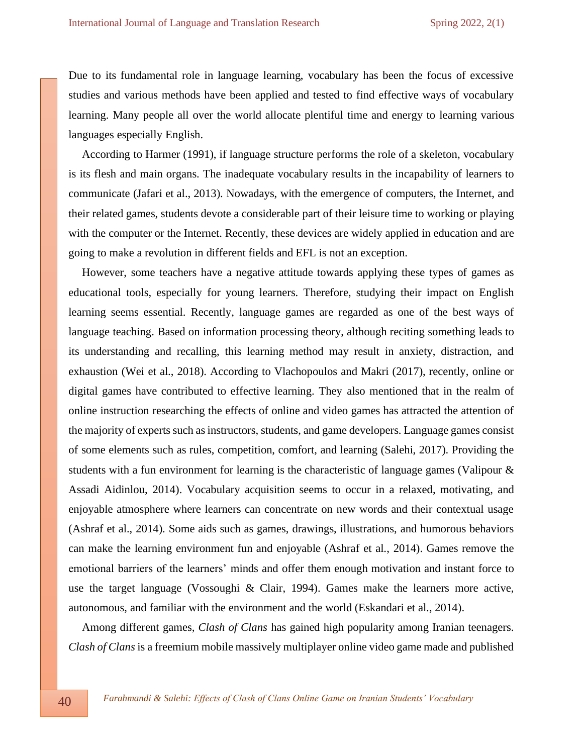Due to its fundamental role in language learning, vocabulary has been the focus of excessive studies and various methods have been applied and tested to find effective ways of vocabulary learning. Many people all over the world allocate plentiful time and energy to learning various languages especially English.

According to Harmer (1991), if language structure performs the role of a skeleton, vocabulary is its flesh and main organs. The inadequate vocabulary results in the incapability of learners to communicate (Jafari et al., 2013). Nowadays, with the emergence of computers, the Internet, and their related games, students devote a considerable part of their leisure time to working or playing with the computer or the Internet. Recently, these devices are widely applied in education and are going to make a revolution in different fields and EFL is not an exception.

However, some teachers have a negative attitude towards applying these types of games as educational tools, especially for young learners. Therefore, studying their impact on English learning seems essential. Recently, language games are regarded as one of the best ways of language teaching. Based on information processing theory, although reciting something leads to its understanding and recalling, this learning method may result in anxiety, distraction, and exhaustion (Wei et al., 2018). According to Vlachopoulos and Makri (2017), recently, online or digital games have contributed to effective learning. They also mentioned that in the realm of online instruction researching the effects of online and video games has attracted the attention of the majority of experts such as instructors, students, and game developers. Language games consist of some elements such as rules, competition, comfort, and learning (Salehi, 2017). Providing the students with a fun environment for learning is the characteristic of language games (Valipour & Assadi Aidinlou, 2014). Vocabulary acquisition seems to occur in a relaxed, motivating, and enjoyable atmosphere where learners can concentrate on new words and their contextual usage (Ashraf et al., 2014). Some aids such as games, drawings, illustrations, and humorous behaviors can make the learning environment fun and enjoyable (Ashraf et al., 2014). Games remove the emotional barriers of the learners' minds and offer them enough motivation and instant force to use the target language (Vossoughi & Clair, 1994). Games make the learners more active, autonomous, and familiar with the environment and the world (Eskandari et al., 2014).

Among different games*, Clash of Clans* has gained high popularity among Iranian teenagers. *Clash of Clans* is a freemium mobile massively multiplayer online video game made and published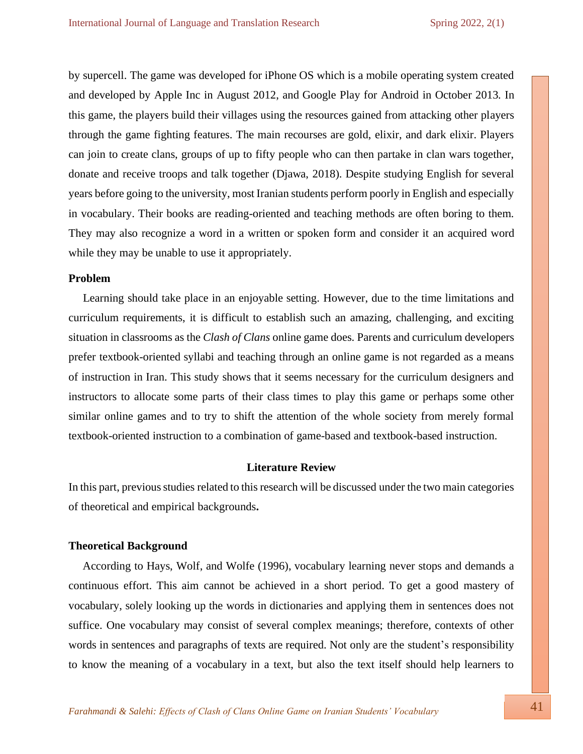by supercell. The game was developed for iPhone OS which is a mobile operating system created and developed by Apple Inc in August 2012, and Google Play for Android in October 2013. In this game, the players build their villages using the resources gained from attacking other players through the game fighting features. The main recourses are gold, elixir, and dark elixir. Players can join to create clans, groups of up to fifty people who can then partake in clan wars together, donate and receive troops and talk together (Djawa, 2018). Despite studying English for several years before going to the university, most Iranian students perform poorly in English and especially in vocabulary. Their books are reading-oriented and teaching methods are often boring to them. They may also recognize a word in a written or spoken form and consider it an acquired word while they may be unable to use it appropriately.

#### **Problem**

 Learning should take place in an enjoyable setting. However, due to the time limitations and curriculum requirements, it is difficult to establish such an amazing, challenging, and exciting situation in classrooms as the *Clash of Clans* online game does. Parents and curriculum developers prefer textbook-oriented syllabi and teaching through an online game is not regarded as a means of instruction in Iran. This study shows that it seems necessary for the curriculum designers and instructors to allocate some parts of their class times to play this game or perhaps some other similar online games and to try to shift the attention of the whole society from merely formal textbook-oriented instruction to a combination of game-based and textbook-based instruction.

# **Literature Review**

In this part, previous studies related to this research will be discussed under the two main categories of theoretical and empirical backgrounds**.**

## **Theoretical Background**

 According to Hays, Wolf, and Wolfe (1996), vocabulary learning never stops and demands a continuous effort. This aim cannot be achieved in a short period. To get a good mastery of vocabulary, solely looking up the words in dictionaries and applying them in sentences does not suffice. One vocabulary may consist of several complex meanings; therefore, contexts of other words in sentences and paragraphs of texts are required. Not only are the student's responsibility to know the meaning of a vocabulary in a text, but also the text itself should help learners to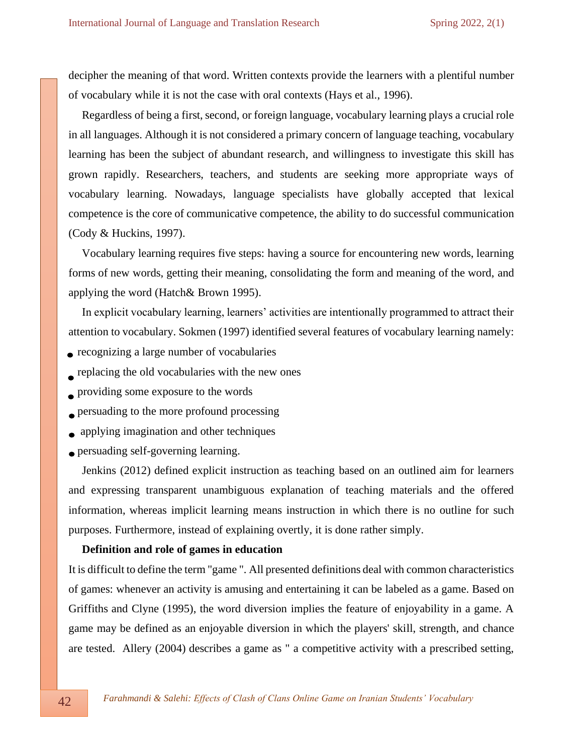decipher the meaning of that word. Written contexts provide the learners with a plentiful number of vocabulary while it is not the case with oral contexts (Hays et al., 1996).

Regardless of being a first, second, or foreign language, vocabulary learning plays a crucial role in all languages. Although it is not considered a primary concern of language teaching, vocabulary learning has been the subject of abundant research, and willingness to investigate this skill has grown rapidly. Researchers, teachers, and students are seeking more appropriate ways of vocabulary learning. Nowadays, language specialists have globally accepted that lexical competence is the core of communicative competence, the ability to do successful communication (Cody & Huckins, 1997).

Vocabulary learning requires five steps: having a source for encountering new words, learning forms of new words, getting their meaning, consolidating the form and meaning of the word, and applying the word (Hatch& Brown 1995).

In explicit vocabulary learning, learners' activities are intentionally programmed to attract their attention to vocabulary. Sokmen (1997) identified several features of vocabulary learning namely:

- recognizing a large number of vocabularies
- replacing the old vocabularies with the new ones
- providing some exposure to the words
- **Persuading to the more profound processing**
- **•** applying imagination and other techniques
- persuading self-governing learning.

Jenkins (2012) defined explicit instruction as teaching based on an outlined aim for learners and expressing transparent unambiguous explanation of teaching materials and the offered information, whereas implicit learning means instruction in which there is no outline for such purposes. Furthermore, instead of explaining overtly, it is done rather simply.

## **Definition and role of games in education**

It is difficult to define the term "game ". All presented definitions deal with common characteristics of games: whenever an activity is amusing and entertaining it can be labeled as a game. Based on Griffiths and Clyne (1995), the word diversion implies the feature of enjoyability in a game. A game may be defined as an enjoyable diversion in which the players' skill, strength, and chance are tested. Allery (2004) describes a game as " a competitive activity with a prescribed setting,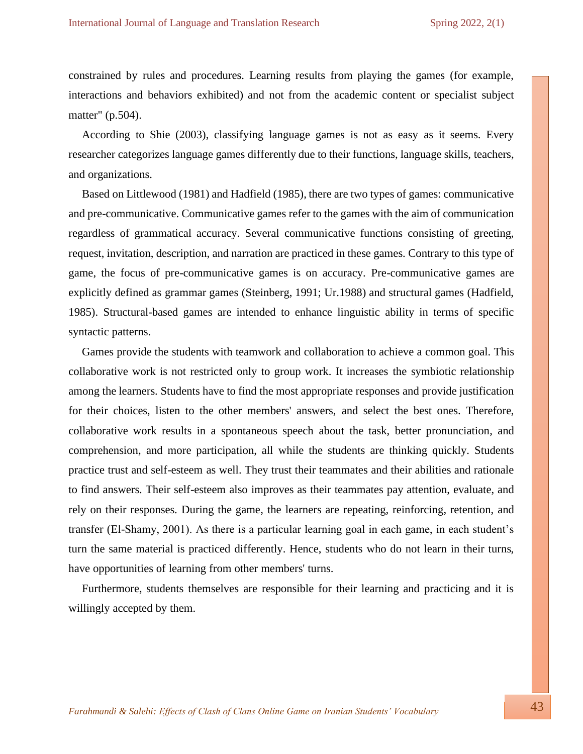constrained by rules and procedures. Learning results from playing the games (for example, interactions and behaviors exhibited) and not from the academic content or specialist subject matter" (p.504).

According to Shie (2003), classifying language games is not as easy as it seems. Every researcher categorizes language games differently due to their functions, language skills, teachers, and organizations.

Based on Littlewood (1981) and Hadfield (1985), there are two types of games: communicative and pre-communicative. Communicative games refer to the games with the aim of communication regardless of grammatical accuracy. Several communicative functions consisting of greeting, request, invitation, description, and narration are practiced in these games. Contrary to this type of game, the focus of pre-communicative games is on accuracy. Pre-communicative games are explicitly defined as grammar games (Steinberg, 1991; Ur.1988) and structural games (Hadfield, 1985). Structural-based games are intended to enhance linguistic ability in terms of specific syntactic patterns.

Games provide the students with teamwork and collaboration to achieve a common goal. This collaborative work is not restricted only to group work. It increases the symbiotic relationship among the learners. Students have to find the most appropriate responses and provide justification for their choices, listen to the other members' answers, and select the best ones. Therefore, collaborative work results in a spontaneous speech about the task, better pronunciation, and comprehension, and more participation, all while the students are thinking quickly. Students practice trust and self-esteem as well. They trust their teammates and their abilities and rationale to find answers. Their self-esteem also improves as their teammates pay attention, evaluate, and rely on their responses. During the game, the learners are repeating, reinforcing, retention, and transfer (El-Shamy, 2001). As there is a particular learning goal in each game, in each student's turn the same material is practiced differently. Hence, students who do not learn in their turns, have opportunities of learning from other members' turns.

Furthermore, students themselves are responsible for their learning and practicing and it is willingly accepted by them.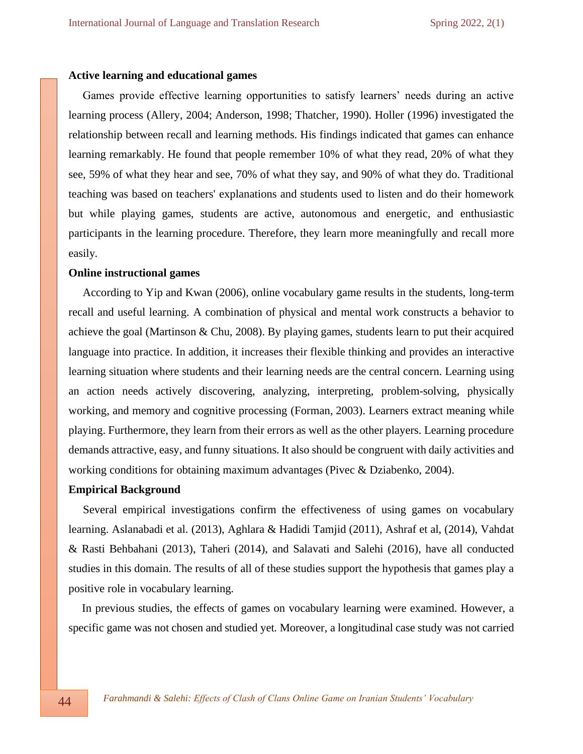#### **Active learning and educational games**

 Games provide effective learning opportunities to satisfy learners' needs during an active learning process (Allery, 2004; Anderson, 1998; Thatcher, 1990). Holler (1996) investigated the relationship between recall and learning methods. His findings indicated that games can enhance learning remarkably. He found that people remember 10% of what they read, 20% of what they see, 59% of what they hear and see, 70% of what they say, and 90% of what they do. Traditional teaching was based on teachers' explanations and students used to listen and do their homework but while playing games, students are active, autonomous and energetic, and enthusiastic participants in the learning procedure. Therefore, they learn more meaningfully and recall more easily*.*

## **Online instructional games**

 According to Yip and Kwan (2006), online vocabulary game results in the students, long-term recall and useful learning. A combination of physical and mental work constructs a behavior to achieve the goal (Martinson & Chu, 2008). By playing games, students learn to put their acquired language into practice. In addition, it increases their flexible thinking and provides an interactive learning situation where students and their learning needs are the central concern. Learning using an action needs actively discovering, analyzing, interpreting, problem-solving, physically working, and memory and cognitive processing (Forman, 2003). Learners extract meaning while playing. Furthermore, they learn from their errors as well as the other players. Learning procedure demands attractive, easy, and funny situations. It also should be congruent with daily activities and working conditions for obtaining maximum advantages (Pivec & Dziabenko, 2004).

#### **Empirical Background**

 Several empirical investigations confirm the effectiveness of using games on vocabulary learning. Aslanabadi et al. (2013), Aghlara & Hadidi Tamjid (2011), Ashraf et al, (2014), Vahdat & Rasti Behbahani (2013), Taheri (2014), and Salavati and Salehi (2016), have all conducted studies in this domain. The results of all of these studies support the hypothesis that games play a positive role in vocabulary learning.

In previous studies, the effects of games on vocabulary learning were examined. However, a specific game was not chosen and studied yet. Moreover, a longitudinal case study was not carried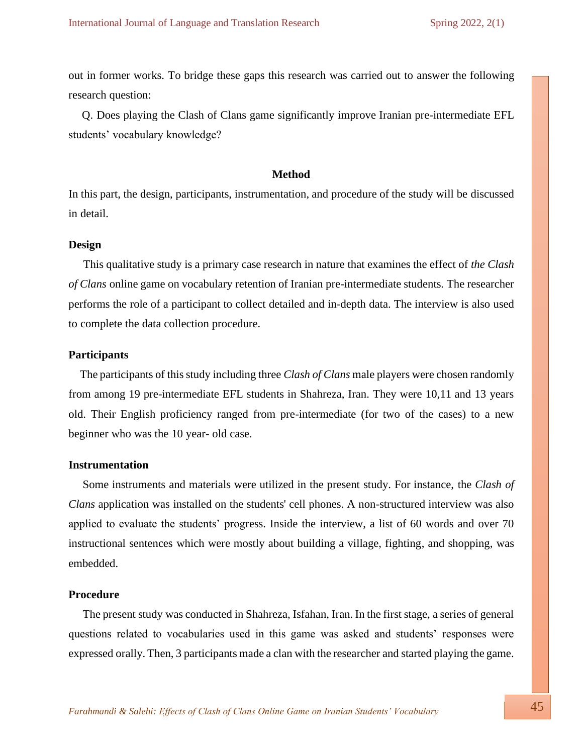out in former works. To bridge these gaps this research was carried out to answer the following research question:

Q. Does playing the Clash of Clans game significantly improve Iranian pre-intermediate EFL students' vocabulary knowledge?

### **Method**

In this part, the design, participants, instrumentation, and procedure of the study will be discussed in detail.

#### **Design**

 This qualitative study is a primary case research in nature that examines the effect of *the Clash of Clans* online game on vocabulary retention of Iranian pre-intermediate students. The researcher performs the role of a participant to collect detailed and in-depth data. The interview is also used to complete the data collection procedure.

#### **Participants**

 The participants of this study including three *Clash of Clans* male players were chosen randomly from among 19 pre-intermediate EFL students in Shahreza, Iran. They were 10,11 and 13 years old. Their English proficiency ranged from pre-intermediate (for two of the cases) to a new beginner who was the 10 year- old case.

#### **Instrumentation**

 Some instruments and materials were utilized in the present study. For instance, the *Clash of Clans* application was installed on the students' cell phones. A non-structured interview was also applied to evaluate the students' progress. Inside the interview, a list of 60 words and over 70 instructional sentences which were mostly about building a village, fighting, and shopping, was embedded.

## **Procedure**

 The present study was conducted in Shahreza, Isfahan, Iran. In the first stage, a series of general questions related to vocabularies used in this game was asked and students' responses were expressed orally. Then, 3 participants made a clan with the researcher and started playing the game.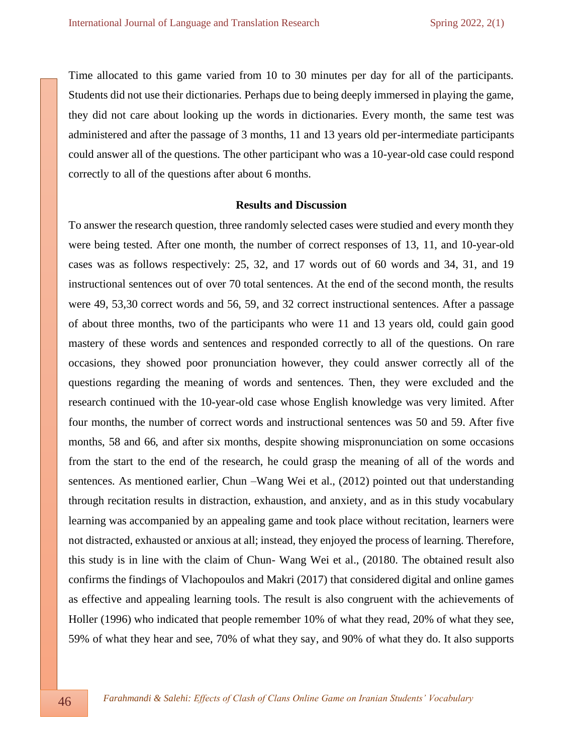Time allocated to this game varied from 10 to 30 minutes per day for all of the participants. Students did not use their dictionaries. Perhaps due to being deeply immersed in playing the game, they did not care about looking up the words in dictionaries. Every month, the same test was administered and after the passage of 3 months, 11 and 13 years old per-intermediate participants could answer all of the questions. The other participant who was a 10-year-old case could respond correctly to all of the questions after about 6 months.

#### **Results and Discussion**

To answer the research question, three randomly selected cases were studied and every month they were being tested. After one month, the number of correct responses of 13, 11, and 10-year-old cases was as follows respectively: 25, 32, and 17 words out of 60 words and 34, 31, and 19 instructional sentences out of over 70 total sentences. At the end of the second month, the results were 49, 53,30 correct words and 56, 59, and 32 correct instructional sentences. After a passage of about three months, two of the participants who were 11 and 13 years old, could gain good mastery of these words and sentences and responded correctly to all of the questions. On rare occasions, they showed poor pronunciation however, they could answer correctly all of the questions regarding the meaning of words and sentences. Then, they were excluded and the research continued with the 10-year-old case whose English knowledge was very limited. After four months, the number of correct words and instructional sentences was 50 and 59. After five months, 58 and 66, and after six months, despite showing mispronunciation on some occasions from the start to the end of the research, he could grasp the meaning of all of the words and sentences. As mentioned earlier, Chun –Wang Wei et al., (2012) pointed out that understanding through recitation results in distraction, exhaustion, and anxiety, and as in this study vocabulary learning was accompanied by an appealing game and took place without recitation, learners were not distracted, exhausted or anxious at all; instead, they enjoyed the process of learning. Therefore, this study is in line with the claim of Chun- Wang Wei et al., (20180. The obtained result also confirms the findings of Vlachopoulos and Makri (2017) that considered digital and online games as effective and appealing learning tools. The result is also congruent with the achievements of Holler (1996) who indicated that people remember 10% of what they read, 20% of what they see, 59% of what they hear and see, 70% of what they say, and 90% of what they do. It also supports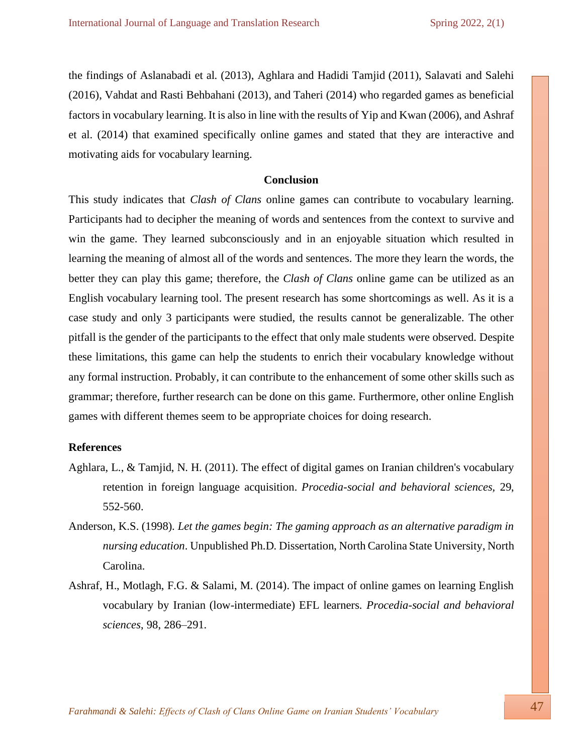the findings of Aslanabadi et al. (2013), Aghlara and Hadidi Tamjid (2011), Salavati and Salehi (2016), Vahdat and Rasti Behbahani (2013), and Taheri (2014) who regarded games as beneficial factors in vocabulary learning. It is also in line with the results of Yip and Kwan (2006), and Ashraf et al. (2014) that examined specifically online games and stated that they are interactive and motivating aids for vocabulary learning.

## **Conclusion**

This study indicates that *Clash of Clans* online games can contribute to vocabulary learning. Participants had to decipher the meaning of words and sentences from the context to survive and win the game. They learned subconsciously and in an enjoyable situation which resulted in learning the meaning of almost all of the words and sentences. The more they learn the words, the better they can play this game; therefore, the *Clash of Clans* online game can be utilized as an English vocabulary learning tool. The present research has some shortcomings as well. As it is a case study and only 3 participants were studied, the results cannot be generalizable. The other pitfall is the gender of the participants to the effect that only male students were observed. Despite these limitations, this game can help the students to enrich their vocabulary knowledge without any formal instruction. Probably, it can contribute to the enhancement of some other skills such as grammar; therefore, further research can be done on this game. Furthermore, other online English games with different themes seem to be appropriate choices for doing research.

## **References**

- Aghlara, L., & Tamjid, N. H. (2011). The effect of digital games on Iranian children's vocabulary retention in foreign language acquisition. *Procedia-social and behavioral sciences,* 29, 552-560.
- Anderson, K.S. (1998). *Let the games begin: The gaming approach as an alternative paradigm in nursing education*. Unpublished Ph.D. Dissertation, North Carolina State University, North Carolina.
- Ashraf, H., Motlagh, F.G. & Salami, M. (2014). The impact of online games on learning English vocabulary by Iranian (low-intermediate) EFL learners. *Procedia-social and behavioral sciences*, 98, 286–291.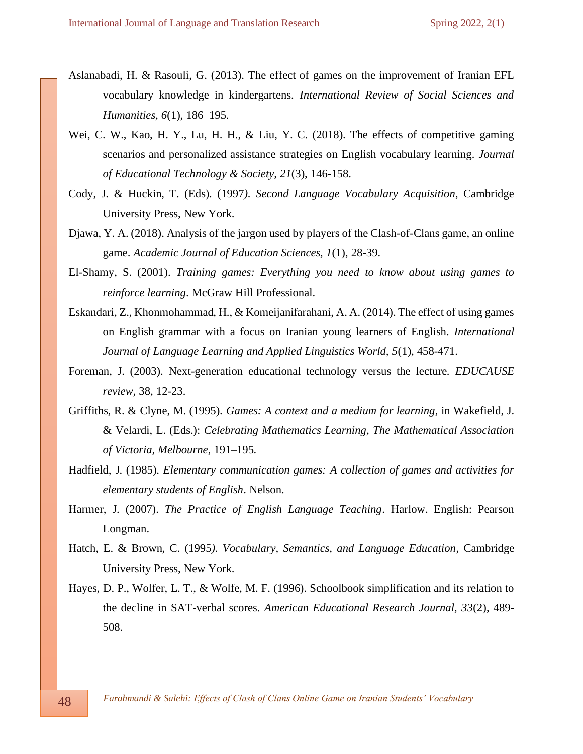- Aslanabadi, H. & Rasouli, G. (2013). The effect of games on the improvement of Iranian EFL vocabulary knowledge in kindergartens. *International Review of Social Sciences and Humanities, 6*(1), 186–195.
- Wei, C. W., Kao, H. Y., Lu, H. H., & Liu, Y. C. (2018). The effects of competitive gaming scenarios and personalized assistance strategies on English vocabulary learning*. Journal of Educational Technology & Society, 21*(3), 146-158.
- Cody, J. & Huckin, T. (Eds). (1997*). Second Language Vocabulary Acquisition*, Cambridge University Press, New York.
- Djawa, Y. A. (2018). Analysis of the jargon used by players of the Clash-of-Clans game, an online game. *Academic Journal of Education Sciences, 1*(1), 28-39.
- El-Shamy, S. (2001). *Training games: Everything you need to know about using games to reinforce learning*. McGraw Hill Professional.
- Eskandari, Z., Khonmohammad, H., & Komeijanifarahani, A. A. (2014). The effect of using games on English grammar with a focus on Iranian young learners of English. *International Journal of Language Learning and Applied Linguistics World, 5*(1), 458-471.
- Foreman, J. (2003). Next-generation educational technology versus the lecture. *EDUCAUSE review,* 38, 12-23.
- Griffiths, R. & Clyne, M. (1995). *Games: A context and a medium for learning*, in Wakefield, J. & Velardi, L. (Eds.): *Celebrating Mathematics Learning, The Mathematical Association of Victoria, Melbourne*, 191–195.
- Hadfield, J. (1985). *Elementary communication games: A collection of games and activities for elementary students of English*. Nelson.
- Harmer, J. (2007). *The Practice of English Language Teaching*. Harlow. English: Pearson Longman.
- Hatch, E. & Brown, C. (1995*). Vocabulary, Semantics, and Language Education*, Cambridge University Press, New York.
- Hayes, D. P., Wolfer, L. T., & Wolfe, M. F. (1996). Schoolbook simplification and its relation to the decline in SAT-verbal scores. *American Educational Research Journal, 33*(2), 489- 508.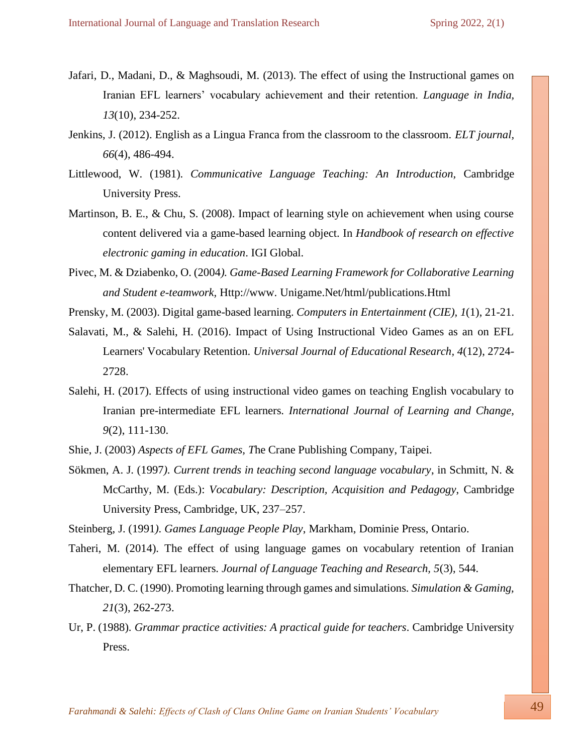- Jafari, D., Madani, D., & Maghsoudi, M. (2013). The effect of using the Instructional games on Iranian EFL learners' vocabulary achievement and their retention. *Language in India, 13*(10), 234-252.
- Jenkins, J. (2012). English as a Lingua Franca from the classroom to the classroom. *ELT journal, 66*(4), 486-494.
- Littlewood, W. (1981). *Communicative Language Teaching: An Introduction,* Cambridge University Press.
- Martinson, B. E., & Chu, S. (2008). Impact of learning style on achievement when using course content delivered via a game-based learning object. In *Handbook of research on effective electronic gaming in education*. IGI Global.
- Pivec, M. & Dziabenko, O. (2004*). Game-Based Learning Framework for Collaborative Learning and Student e-teamwork,* Http://www. Unigame.Net/html/publications.Html
- Prensky, M. (2003). Digital game-based learning. *Computers in Entertainment (CIE), 1*(1), 21-21.
- Salavati, M., & Salehi, H. (2016). Impact of Using Instructional Video Games as an on EFL Learners' Vocabulary Retention. *Universal Journal of Educational Research, 4*(12), 2724- 2728.
- Salehi, H. (2017). Effects of using instructional video games on teaching English vocabulary to Iranian pre-intermediate EFL learners. *International Journal of Learning and Change, 9*(2), 111-130.
- Shie, J. (2003) *Aspects of EFL Games, T*he Crane Publishing Company, Taipei.
- Sökmen, A. J. (1997*). Current trends in teaching second language vocabulary*, in Schmitt, N. & McCarthy, M. (Eds.): *Vocabulary: Description, Acquisition and Pedagogy*, Cambridge University Press, Cambridge, UK, 237–257.
- Steinberg, J. (1991*). Games Language People Play*, Markham, Dominie Press, Ontario.
- Taheri, M. (2014). The effect of using language games on vocabulary retention of Iranian elementary EFL learners. *Journal of Language Teaching and Research, 5*(3), 544.
- Thatcher, D. C. (1990). Promoting learning through games and simulations. *Simulation & Gaming, 21*(3), 262-273.
- Ur, P. (1988). *Grammar practice activities: A practical guide for teachers*. Cambridge University Press.